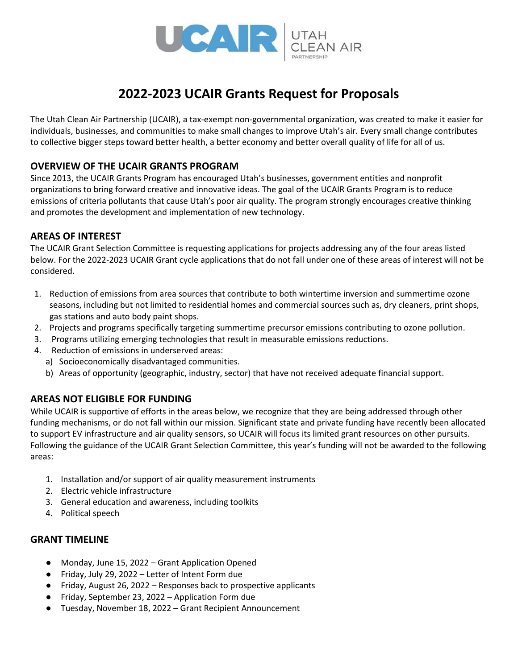

# **2022-2023 UCAIR Grants Request for Proposals**

The Utah Clean Air Partnership (UCAIR), a tax-exempt non-governmental organization, was created to make it easier for individuals, businesses, and communities to make small changes to improve Utah's air. Every small change contributes to collective bigger steps toward better health, a better economy and better overall quality of life for all of us.

### **OVERVIEW OF THE UCAIR GRANTS PROGRAM**

Since 2013, the UCAIR Grants Program has encouraged Utah's businesses, government entities and nonprofit organizations to bring forward creative and innovative ideas. The goal of the UCAIR Grants Program is to reduce emissions of criteria pollutants that cause Utah's poor air quality. The program strongly encourages creative thinking and promotes the development and implementation of new technology.

### **AREAS OF INTEREST**

The UCAIR Grant Selection Committee is requesting applications for projects addressing any of the four areas listed below. For the 2022-2023 UCAIR Grant cycle applications that do not fall under one of these areas of interest will not be considered.

- 1. Reduction of emissions from area sources that contribute to both wintertime inversion and summertime ozone seasons, including but not limited to residential homes and commercial sources such as, dry cleaners, print shops, gas stations and auto body paint shops.
- 2. Projects and programs specifically targeting summertime precursor emissions contributing to ozone pollution.
- 3. Programs utilizing emerging technologies that result in measurable emissions reductions.
- 4. Reduction of emissions in underserved areas:
	- a) Socioeconomically disadvantaged communities.
	- b) Areas of opportunity (geographic, industry, sector) that have not received adequate financial support.

#### **AREAS NOT ELIGIBLE FOR FUNDING**

While UCAIR is supportive of efforts in the areas below, we recognize that they are being addressed through other funding mechanisms, or do not fall within our mission. Significant state and private funding have recently been allocated to support EV infrastructure and air quality sensors, so UCAIR will focus its limited grant resources on other pursuits. Following the guidance of the UCAIR Grant Selection Committee, this year's funding will not be awarded to the following areas:

- 1. Installation and/or support of air quality measurement instruments
- 2. Electric vehicle infrastructure
- 3. General education and awareness, including toolkits
- 4. Political speech

#### **GRANT TIMELINE**

- Monday, June 15, 2022 Grant Application Opened
- Friday, July 29, 2022 Letter of Intent Form due
- Friday, August 26, 2022 Responses back to prospective applicants
- Friday, September 23, 2022 Application Form due
- Tuesday, November 18, 2022 Grant Recipient Announcement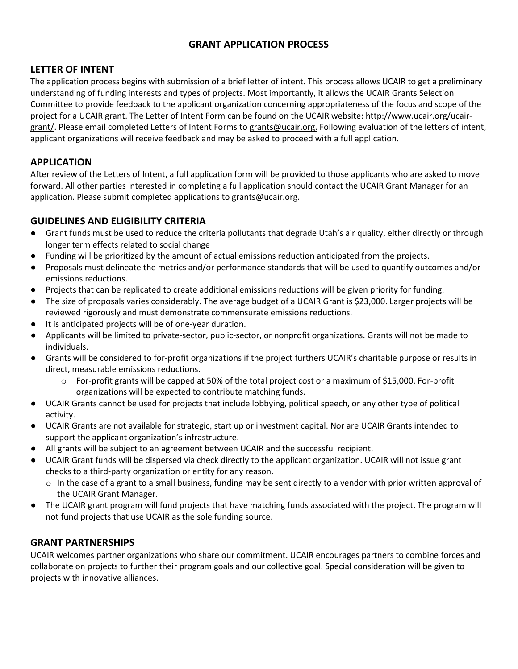### **GRANT APPLICATION PROCESS**

### **LETTER OF INTENT**

The application process begins with submission of a brief letter of intent. This process allows UCAIR to get a preliminary understanding of funding interests and types of projects. Most importantly, it allows the UCAIR Grants Selection Committee to provide feedback to the applicant organization concerning appropriateness of the focus and scope of the project for a UCAIR grant. The Letter of Intent Form can be found on the UCAIR website: [http://www.ucair.org/ucair](http://www.ucair.org/ucair-grant/)[grant/.](http://www.ucair.org/ucair-grant/) Please email completed Letters of Intent Forms to [grants@ucair.org.](mailto:grants@ucair.org) Following evaluation of the letters of intent, applicant organizations will receive feedback and may be asked to proceed with a full application.

### **APPLICATION**

After review of the Letters of Intent, a full application form will be provided to those applicants who are asked to move forward. All other parties interested in completing a full application should contact the UCAIR Grant Manager for an application. Please submit completed applications to grants@ucair.org.

#### **GUIDELINES AND ELIGIBILITY CRITERIA**

- Grant funds must be used to reduce the criteria pollutants that degrade Utah's air quality, either directly or through longer term effects related to social change
- Funding will be prioritized by the amount of actual emissions reduction anticipated from the projects.
- Proposals must delineate the metrics and/or performance standards that will be used to quantify outcomes and/or emissions reductions.
- Projects that can be replicated to create additional emissions reductions will be given priority for funding.
- The size of proposals varies considerably. The average budget of a UCAIR Grant is \$23,000. Larger projects will be reviewed rigorously and must demonstrate commensurate emissions reductions.
- It is anticipated projects will be of one-year duration.
- Applicants will be limited to private-sector, public-sector, or nonprofit organizations. Grants will not be made to individuals.
- Grants will be considered to for-profit organizations if the project furthers UCAIR's charitable purpose or results in direct, measurable emissions reductions.
	- o For-profit grants will be capped at 50% of the total project cost or a maximum of \$15,000. For-profit organizations will be expected to contribute matching funds.
- UCAIR Grants cannot be used for projects that include lobbying, political speech, or any other type of political activity.
- UCAIR Grants are not available for strategic, start up or investment capital. Nor are UCAIR Grants intended to support the applicant organization's infrastructure.
- All grants will be subject to an agreement between UCAIR and the successful recipient.
- UCAIR Grant funds will be dispersed via check directly to the applicant organization. UCAIR will not issue grant checks to a third-party organization or entity for any reason.
	- $\circ$  In the case of a grant to a small business, funding may be sent directly to a vendor with prior written approval of the UCAIR Grant Manager.
- The UCAIR grant program will fund projects that have matching funds associated with the project. The program will not fund projects that use UCAIR as the sole funding source.

# **GRANT PARTNERSHIPS**

UCAIR welcomes partner organizations who share our commitment. UCAIR encourages partners to combine forces and collaborate on projects to further their program goals and our collective goal. Special consideration will be given to projects with innovative alliances.